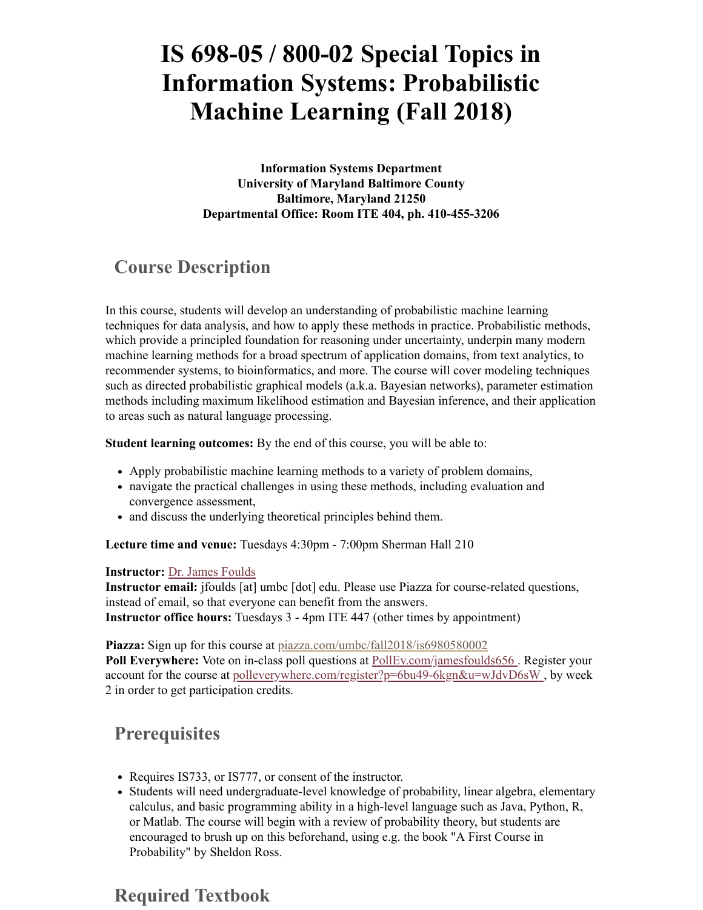# **IS 698-05 / 800-02 Special Topics in Information Systems: Probabilistic Machine Learning (Fall 2018)**

**Information Systems Department University of Maryland Baltimore County Baltimore, Maryland 21250 Departmental Office: Room ITE 404, ph. 410-455-3206**

#### **Course Description**

In this course, students will develop an understanding of probabilistic machine learning techniques for data analysis, and how to apply these methods in practice. Probabilistic methods, which provide a principled foundation for reasoning under uncertainty, underpin many modern machine learning methods for a broad spectrum of application domains, from text analytics, to recommender systems, to bioinformatics, and more. The course will cover modeling techniques such as directed probabilistic graphical models (a.k.a. Bayesian networks), parameter estimation methods including maximum likelihood estimation and Bayesian inference, and their application to areas such as natural language processing.

**Student learning outcomes:** By the end of this course, you will be able to:

- Apply probabilistic machine learning methods to a variety of problem domains,
- navigate the practical challenges in using these methods, including evaluation and convergence assessment,
- and discuss the underlying theoretical principles behind them.

**Lecture time and venue:** Tuesdays 4:30pm - 7:00pm Sherman Hall 210

#### **Instructor:** [Dr. James Foulds](http://cseweb.ucsd.edu/~jfoulds/index.html)

**Instructor email:** jfoulds [at] umbc [dot] edu. Please use Piazza for course-related questions, instead of email, so that everyone can benefit from the answers. **Instructor office hours:** Tuesdays 3 - 4pm ITE 447 (other times by appointment)

Piazza: Sign up for this course at [piazza.com/umbc/fall2018/is6980580002](https://piazza.com/umbc/fall2018/is6980580002) **Poll Everywhere:** Vote on in-class poll questions at [PollEv.com/jamesfoulds656 .](http://pollev.com/jamesfoulds656) Register your account for the course at [polleverywhere.com/register?p=6bu49-6kgn&u=wJdvD6sW ,](https://www.polleverywhere.com/register?p=6bu49-6kgn&u=wJdvD6sW) by week 2 in order to get participation credits.

#### **Prerequisites**

- Requires IS733, or IS777, or consent of the instructor.
- Students will need undergraduate-level knowledge of probability, linear algebra, elementary calculus, and basic programming ability in a high-level language such as Java, Python, R, or Matlab. The course will begin with a review of probability theory, but students are encouraged to brush up on this beforehand, using e.g. the book "A First Course in Probability" by Sheldon Ross.

# **Required Textbook**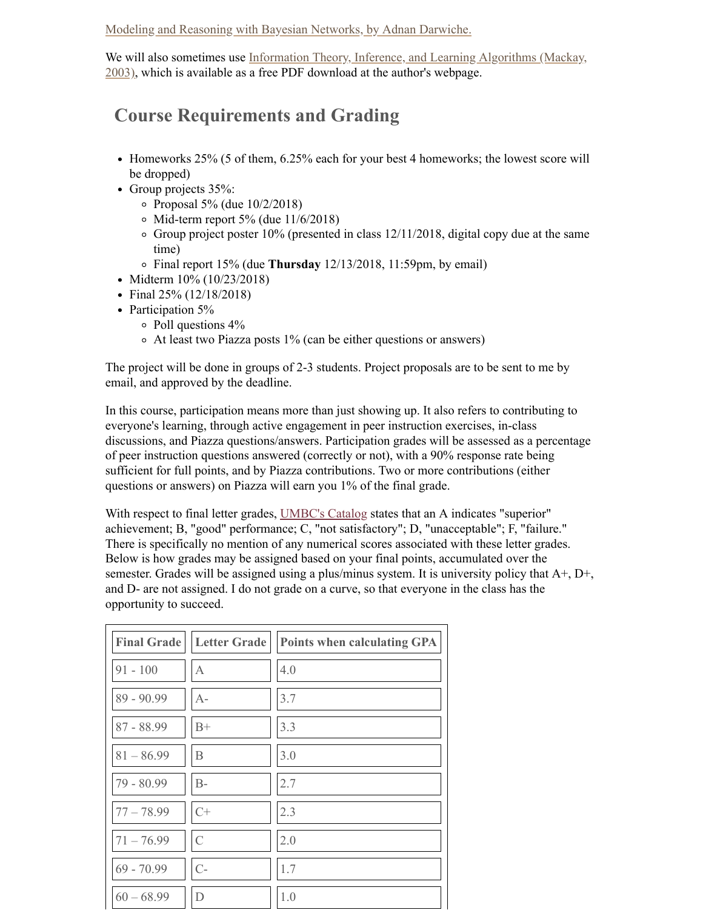[Modeling and Reasoning with Bayesian Networks, by Adnan Darwiche.](https://www.amazon.com/Modeling-Reasoning-Bayesian-Networks-Professor/dp/1107678420)

[We will also sometimes use Information Theory, Inference, and Learning Algorithms \(Mackay,](http://www.inference.phy.cam.ac.uk/itprnn/book.html) 2003), which is available as a free PDF download at the author's webpage.

# **Course Requirements and Grading**

- Homeworks 25% (5 of them, 6.25% each for your best 4 homeworks; the lowest score will be dropped)
- Group projects 35%:
	- $\circ$  Proposal 5% (due 10/2/2018)
	- $\circ$  Mid-term report 5% (due 11/6/2018)
	- $\circ$  Group project poster 10% (presented in class 12/11/2018, digital copy due at the same time)
	- Final report 15% (due **Thursday** 12/13/2018, 11:59pm, by email)
- Midterm 10% (10/23/2018)
- Final 25% (12/18/2018)
- Participation 5%
	- Poll questions 4%
	- At least two Piazza posts 1% (can be either questions or answers)

The project will be done in groups of 2-3 students. Project proposals are to be sent to me by email, and approved by the deadline.

In this course, participation means more than just showing up. It also refers to contributing to everyone's learning, through active engagement in peer instruction exercises, in-class discussions, and Piazza questions/answers. Participation grades will be assessed as a percentage of peer instruction questions answered (correctly or not), with a 90% response rate being sufficient for full points, and by Piazza contributions. Two or more contributions (either questions or answers) on Piazza will earn you 1% of the final grade.

With respect to final letter grades, [UMBC's Catalog](http://catalog.umbc.edu/content.php?catoid=17&navoid=882#grades-and-grading-policies) states that an A indicates "superior" achievement; B, "good" performance; C, "not satisfactory"; D, "unacceptable"; F, "failure." There is specifically no mention of any numerical scores associated with these letter grades. Below is how grades may be assigned based on your final points, accumulated over the semester. Grades will be assigned using a plus/minus system. It is university policy that  $A^+, D^+,$ and D- are not assigned. I do not grade on a curve, so that everyone in the class has the opportunity to succeed.

|              | <b>Final Grade</b>   Letter Grade | <b>Points when calculating GPA</b> |
|--------------|-----------------------------------|------------------------------------|
| $91 - 100$   | $\mathbf{A}$                      | 4.0                                |
| 89 - 90.99   | $A-$                              | 3.7                                |
| 87 - 88.99   | $B+$                              | 3.3                                |
| $81 - 86.99$ | B                                 | 3.0                                |
| 79 - 80.99   | $B-$                              | 2.7                                |
| $77 - 78.99$ | $C+$                              | 2.3                                |
| $71 - 76.99$ | $\mathcal{C}$                     | 2.0                                |
| $69 - 70.99$ | $C-$                              | 1.7                                |
| $60 - 68.99$ | D                                 | 1.0                                |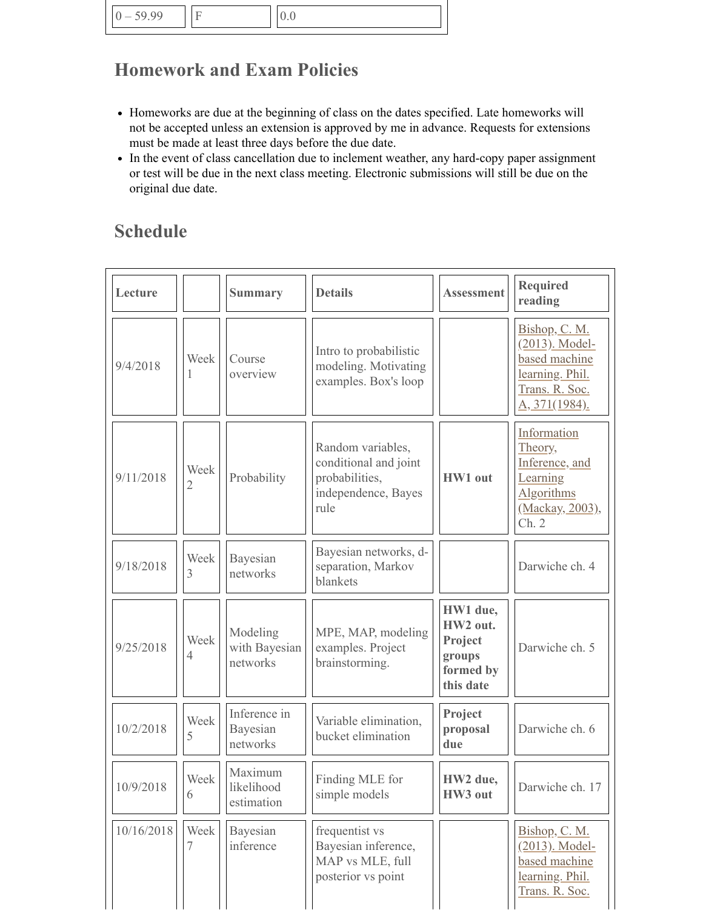# **Homework and Exam Policies**

- Homeworks are due at the beginning of class on the dates specified. Late homeworks will not be accepted unless an extension is approved by me in advance. Requests for extensions must be made at least three days before the due date.
- In the event of class cancellation due to inclement weather, any hard-copy paper assignment or test will be due in the next class meeting. Electronic submissions will still be due on the original due date.

# **Schedule**

| Lecture    |           | <b>Summary</b>                        | <b>Details</b>                                                                              | <b>Assessment</b>                                                   | <b>Required</b><br>reading                                                                                    |
|------------|-----------|---------------------------------------|---------------------------------------------------------------------------------------------|---------------------------------------------------------------------|---------------------------------------------------------------------------------------------------------------|
| 9/4/2018   | Week      | Course<br>overview                    | Intro to probabilistic<br>modeling. Motivating<br>examples. Box's loop                      |                                                                     | Bishop, C. M.<br>(2013). Model-<br>based machine<br>learning. Phil.<br>Trans. R. Soc.<br><u>A, 371(1984).</u> |
| 9/11/2018  | Week<br>2 | Probability                           | Random variables,<br>conditional and joint<br>probabilities,<br>independence, Bayes<br>rule | HW1 out                                                             | Information<br>Theory,<br>Inference, and<br>Learning<br><b>Algorithms</b><br>(Mackay, 2003),<br>Ch. 2         |
| 9/18/2018  | Week<br>3 | Bayesian<br>networks                  | Bayesian networks, d-<br>separation, Markov<br>blankets                                     |                                                                     | Darwiche ch. 4                                                                                                |
| 9/25/2018  | Week<br>4 | Modeling<br>with Bayesian<br>networks | MPE, MAP, modeling<br>examples. Project<br>brainstorming.                                   | HW1 due,<br>HW2 out.<br>Project<br>groups<br>formed by<br>this date | Darwiche ch. 5                                                                                                |
| 10/2/2018  | Week<br>5 | Inference in<br>Bayesian<br>networks  | Variable elimination,<br>bucket elimination                                                 | Project<br>proposal<br>due                                          | Darwiche ch. 6                                                                                                |
| 10/9/2018  | Week<br>6 | Maximum<br>likelihood<br>estimation   | Finding MLE for<br>simple models                                                            | HW2 due,<br>HW3 out                                                 | Darwiche ch. 17                                                                                               |
| 10/16/2018 | Week<br>7 | Bayesian<br>inference                 | frequentist vs<br>Bayesian inference,<br>MAP vs MLE, full<br>posterior vs point             |                                                                     | Bishop, C. M.<br>(2013). Model-<br>based machine<br>learning. Phil.<br>Trans. R. Soc.                         |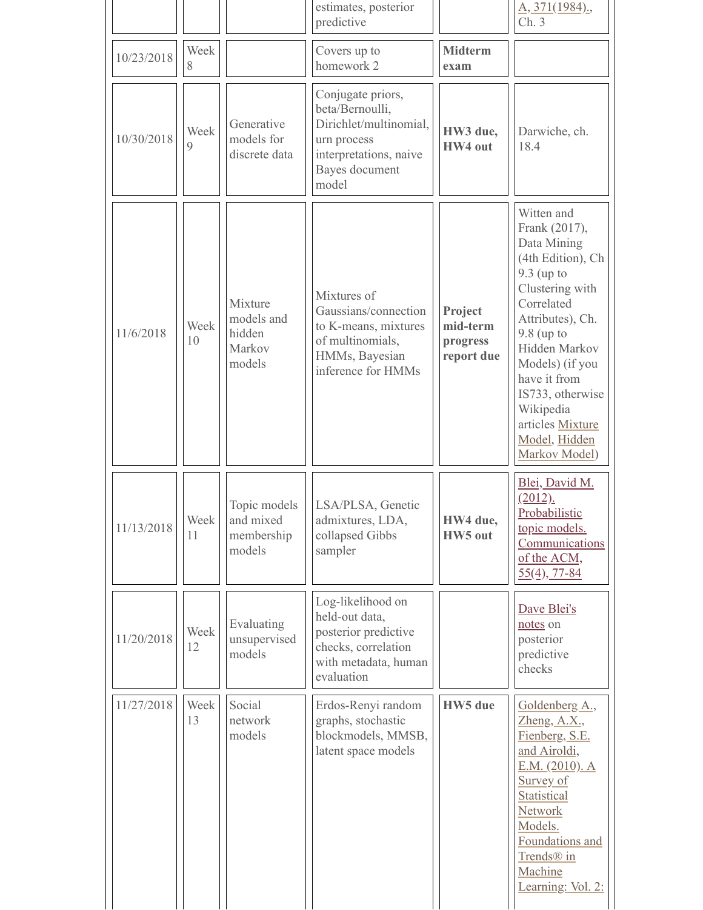|            |                     |                                                     | estimates, posterior<br>predictive                                                                                                 |                                               | A, 371(1984).,<br>Ch.3                                                                                                                                                                                                                                                                          |
|------------|---------------------|-----------------------------------------------------|------------------------------------------------------------------------------------------------------------------------------------|-----------------------------------------------|-------------------------------------------------------------------------------------------------------------------------------------------------------------------------------------------------------------------------------------------------------------------------------------------------|
| 10/23/2018 | Week<br>8           |                                                     | Covers up to<br>homework 2                                                                                                         | <b>Midterm</b><br>exam                        |                                                                                                                                                                                                                                                                                                 |
| 10/30/2018 | Week<br>$\mathbf Q$ | Generative<br>models for<br>discrete data           | Conjugate priors,<br>beta/Bernoulli,<br>Dirichlet/multinomial,<br>urn process<br>interpretations, naive<br>Bayes document<br>model | HW3 due,<br>HW4 out                           | Darwiche, ch.<br>18.4                                                                                                                                                                                                                                                                           |
| 11/6/2018  | Week<br>10          | Mixture<br>models and<br>hidden<br>Markov<br>models | Mixtures of<br>Gaussians/connection<br>to K-means, mixtures<br>of multinomials,<br>HMMs, Bayesian<br>inference for HMMs            | Project<br>mid-term<br>progress<br>report due | Witten and<br>Frank (2017),<br>Data Mining<br>(4th Edition), Ch<br>$9.3$ (up to<br>Clustering with<br>Correlated<br>Attributes), Ch.<br>$9.8$ (up to<br>Hidden Markov<br>Models) (if you<br>have it from<br>IS733, otherwise<br>Wikipedia<br>articles Mixture<br>Model, Hidden<br>Markov Model) |
| 11/13/2018 | Week<br>11          | Topic models<br>and mixed<br>membership<br>models   | LSA/PLSA, Genetic<br>admixtures, LDA,<br>collapsed Gibbs<br>sampler                                                                | HW4 due,<br>HW5 out                           | Blei, David M.<br>(2012).<br>Probabilistic<br>topic models.<br>Communications<br>of the ACM,<br>$55(4)$ , 77-84                                                                                                                                                                                 |
| 11/20/2018 | Week<br>12          | Evaluating<br>unsupervised<br>models                | Log-likelihood on<br>held-out data,<br>posterior predictive<br>checks, correlation<br>with metadata, human<br>evaluation           |                                               | Dave Blei's<br>notes on<br>posterior<br>predictive<br>checks                                                                                                                                                                                                                                    |
| 11/27/2018 | Week<br>13          | Social<br>network<br>models                         | Erdos-Renyi random<br>graphs, stochastic<br>blockmodels, MMSB,<br>latent space models                                              | <b>HW5</b> due                                | Goldenberg A.,<br>$Z$ heng, $A.X$ .<br>Fienberg, S.E.<br>and Airoldi,<br>E.M. (2010). A<br>Survey of<br>Statistical<br>Network<br>Models.<br>Foundations and<br>Trends <sup>®</sup> in<br>Machine<br>Learning: Vol. 2:                                                                          |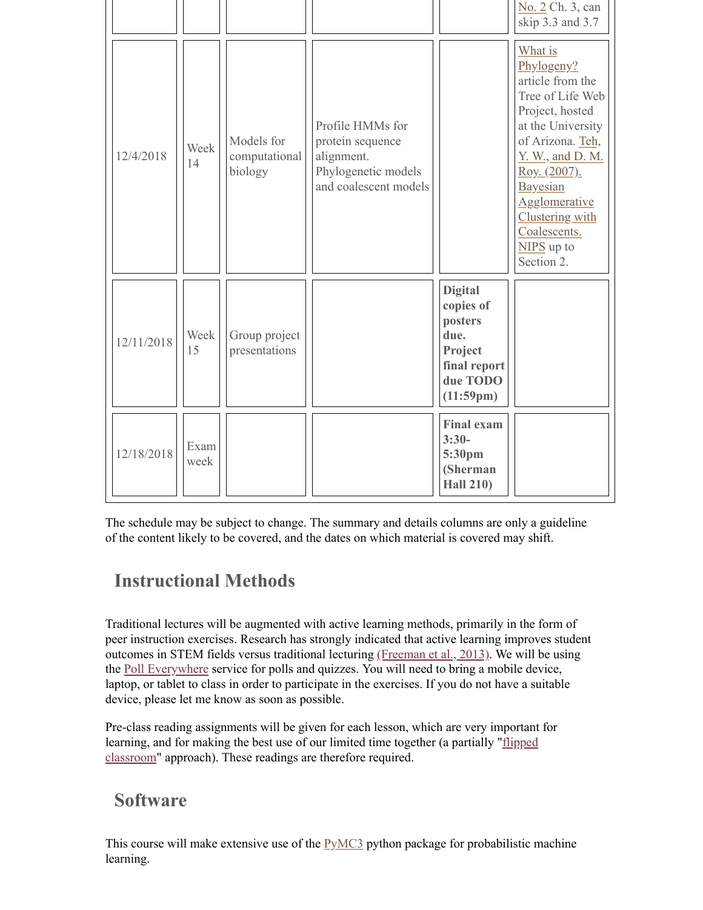|            |              |                                        |                                                                                                    |                                                                                                    | No. 2 Ch. 3, can<br>skip 3.3 and 3.7                                                                                                                                                                                                                             |
|------------|--------------|----------------------------------------|----------------------------------------------------------------------------------------------------|----------------------------------------------------------------------------------------------------|------------------------------------------------------------------------------------------------------------------------------------------------------------------------------------------------------------------------------------------------------------------|
| 12/4/2018  | Week<br>14   | Models for<br>computational<br>biology | Profile HMMs for<br>protein sequence<br>alignment.<br>Phylogenetic models<br>and coalescent models |                                                                                                    | What is<br>Phylogeny?<br>article from the<br>Tree of Life Web<br>Project, hosted<br>at the University<br>of Arizona. Teh,<br>Y. W., and D. M.<br><u>Roy. (2007).</u><br>Bayesian<br>Agglomerative<br>Clustering with<br>Coalescents.<br>NIPS up to<br>Section 2. |
| 12/11/2018 | Week<br>15   | Group project<br>presentations         |                                                                                                    | <b>Digital</b><br>copies of<br>posters<br>due.<br>Project<br>final report<br>due TODO<br>(11:59pm) |                                                                                                                                                                                                                                                                  |
| 12/18/2018 | Exam<br>week |                                        |                                                                                                    | <b>Final exam</b><br>$3:30-$<br>5:30pm<br>(Sherman<br><b>Hall 210)</b>                             |                                                                                                                                                                                                                                                                  |

The schedule may be subject to change. The summary and details columns are only a guideline of the content likely to be covered, and the dates on which material is covered may shift.

# **Instructional Methods**

Traditional lectures will be augmented with active learning methods, primarily in the form of peer instruction exercises. Research has strongly indicated that active learning improves student outcomes in STEM fields versus traditional lecturing [\(Freeman et al., 2013\)](http://www.pnas.org/content/111/23/8410.full). We will be using the [Poll Everywhere](http://www.polleverywhere.com/) service for polls and quizzes. You will need to bring a mobile device, laptop, or tablet to class in order to participate in the exercises. If you do not have a suitable device, please let me know as soon as possible.

Pre-class reading assignments will be given for each lesson, which are very important for learning, and for making the best use of our limited time together (a partially "*flipped* classroom" approach). These readings are therefore required.

#### **Software**

This course will make extensive use of the  $PyMC3$  python package for probabilistic machine learning.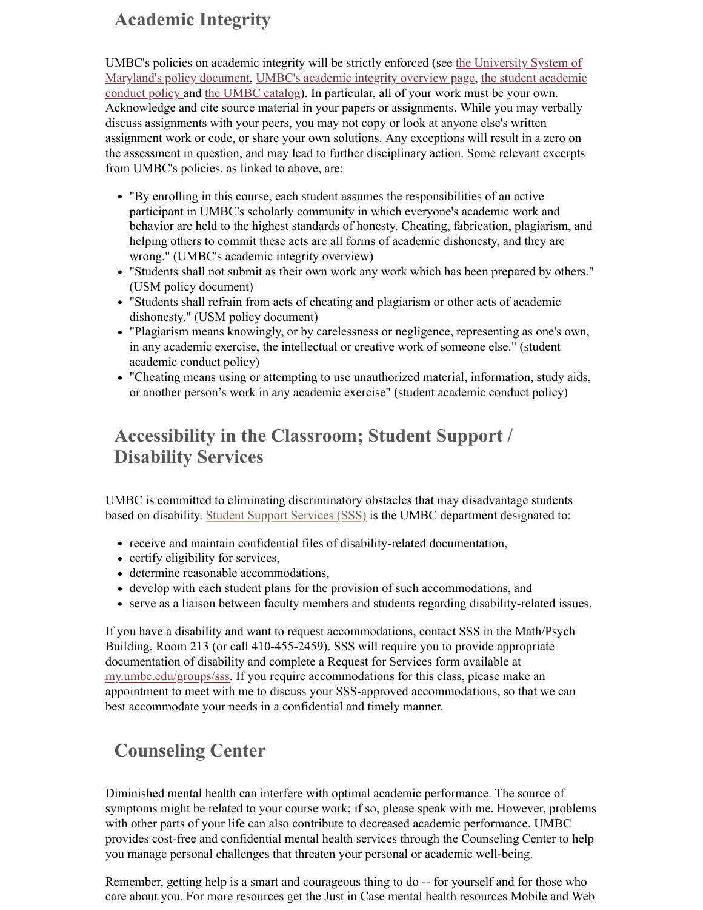## **Academic Integrity**

UMBC's policies on academic integrity will be strictly enforced (see the University System of [Maryland's policy document, UMBC's academic integrity overview page, the student academi](http://www.usmh.usmd.edu/regents/bylaws/SectionIII/III100.html)[c](http://www.umbc.edu/undergrad_ed/ai/documents/ACC2011.pdf) conduct policy and [the UMBC catalog\)](http://catalog.umbc.edu/content.php?catoid=17&navoid=879#academic-integrity). In particular, all of your work must be your own. Acknowledge and cite source material in your papers or assignments. While you may verbally discuss assignments with your peers, you may not copy or look at anyone else's written assignment work or code, or share your own solutions. Any exceptions will result in a zero on the assessment in question, and may lead to further disciplinary action. Some relevant excerpts from UMBC's policies, as linked to above, are:

- "By enrolling in this course, each student assumes the responsibilities of an active participant in UMBC's scholarly community in which everyone's academic work and behavior are held to the highest standards of honesty. Cheating, fabrication, plagiarism, and helping others to commit these acts are all forms of academic dishonesty, and they are wrong." (UMBC's academic integrity overview)
- "Students shall not submit as their own work any work which has been prepared by others." (USM policy document)
- "Students shall refrain from acts of cheating and plagiarism or other acts of academic dishonesty." (USM policy document)
- "Plagiarism means knowingly, or by carelessness or negligence, representing as one's own, in any academic exercise, the intellectual or creative work of someone else." (student academic conduct policy)
- "Cheating means using or attempting to use unauthorized material, information, study aids, or another person's work in any academic exercise" (student academic conduct policy)

# **Accessibility in the Classroom; Student Support / Disability Services**

UMBC is committed to eliminating discriminatory obstacles that may disadvantage students based on disability. [Student Support Services \(SSS\)](http://sds.umbc.edu/) is the UMBC department designated to:

- receive and maintain confidential files of disability-related documentation,
- certify eligibility for services,
- determine reasonable accommodations,
- develop with each student plans for the provision of such accommodations, and
- serve as a liaison between faculty members and students regarding disability-related issues.

If you have a disability and want to request accommodations, contact SSS in the Math/Psych Building, Room 213 (or call 410-455-2459). SSS will require you to provide appropriate documentation of disability and complete a Request for Services form available at [my.umbc.edu/groups/sss](http://my.umbc.edu/groups/sss). If you require accommodations for this class, please make an appointment to meet with me to discuss your SSS-approved accommodations, so that we can best accommodate your needs in a confidential and timely manner.

# **Counseling Center**

Diminished mental health can interfere with optimal academic performance. The source of symptoms might be related to your course work; if so, please speak with me. However, problems with other parts of your life can also contribute to decreased academic performance. UMBC provides cost-free and confidential mental health services through the Counseling Center to help you manage personal challenges that threaten your personal or academic well-being.

Remember, getting help is a smart and courageous thing to do -- for yourself and for those who care about you. For more resources get the Just in Case mental health resources Mobile and Web